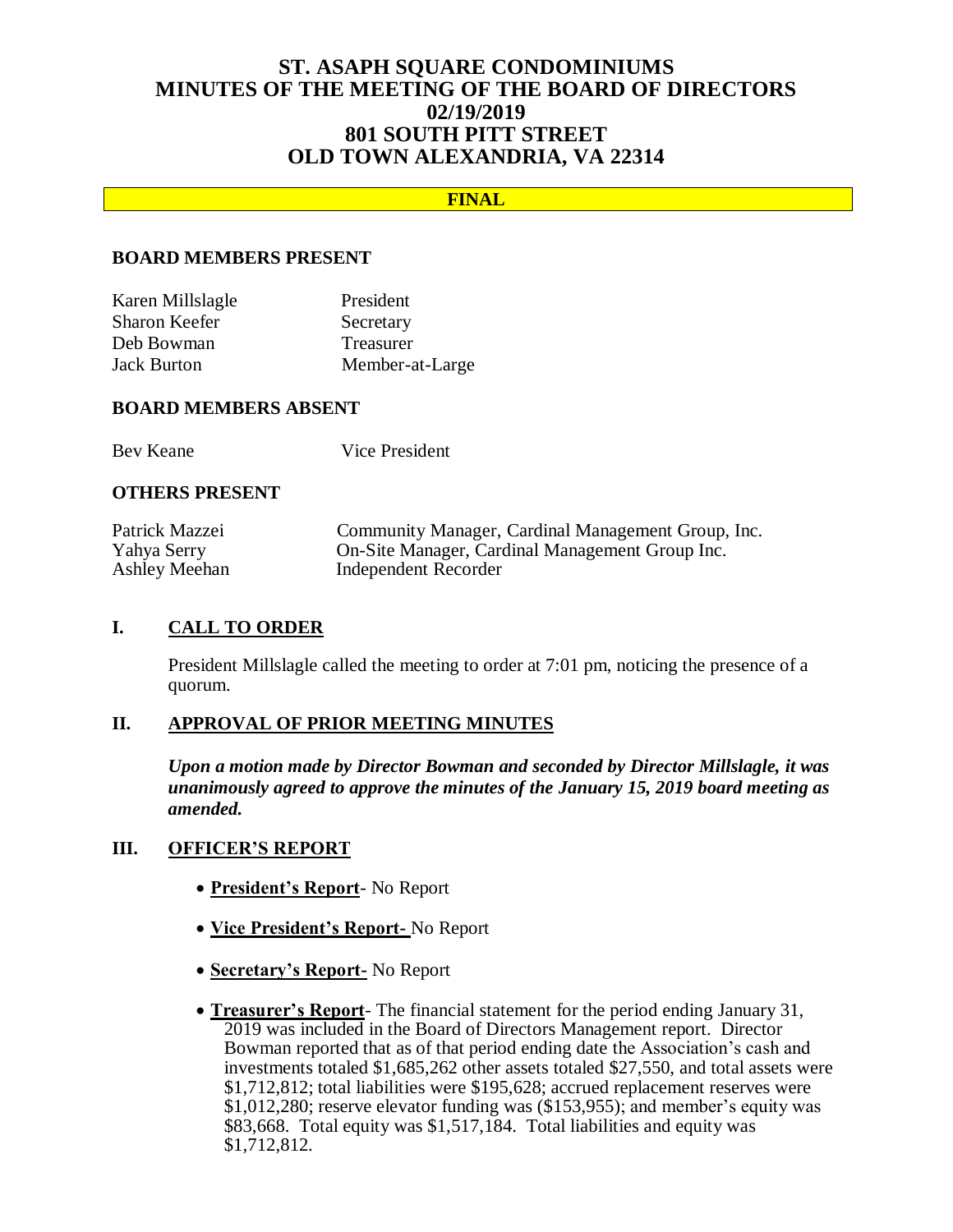# **ST. ASAPH SQUARE CONDOMINIUMS MINUTES OF THE MEETING OF THE BOARD OF DIRECTORS 02/19/2019 801 SOUTH PITT STREET OLD TOWN ALEXANDRIA, VA 22314**

## **FINAL**

#### **BOARD MEMBERS PRESENT**

| Karen Millslagle   | President        |
|--------------------|------------------|
| Sharon Keefer      | Secretary        |
| Deb Bowman         | <b>Treasurer</b> |
| <b>Jack Burton</b> | Member-at-Large  |

#### **BOARD MEMBERS ABSENT**

Bev Keane Vice President

#### **OTHERS PRESENT**

| Patrick Mazzei | Community Manager, Cardinal Management Group, Inc. |
|----------------|----------------------------------------------------|
| Yahya Serry    | On-Site Manager, Cardinal Management Group Inc.    |
| Ashley Meehan  | Independent Recorder                               |

### **I. CALL TO ORDER**

President Millslagle called the meeting to order at 7:01 pm, noticing the presence of a quorum.

## **II. APPROVAL OF PRIOR MEETING MINUTES**

*Upon a motion made by Director Bowman and seconded by Director Millslagle, it was unanimously agreed to approve the minutes of the January 15, 2019 board meeting as amended.*

### **III. OFFICER'S REPORT**

- **President's Report** No Report
- **Vice President's Report-** No Report
- **Secretary's Report-** No Report
- **Treasurer's Report** The financial statement for the period ending January 31, 2019 was included in the Board of Directors Management report. Director Bowman reported that as of that period ending date the Association's cash and investments totaled \$1,685,262 other assets totaled \$27,550, and total assets were \$1,712,812; total liabilities were \$195,628; accrued replacement reserves were \$1,012,280; reserve elevator funding was (\$153,955); and member's equity was \$83,668. Total equity was \$1,517,184. Total liabilities and equity was \$1,712,812.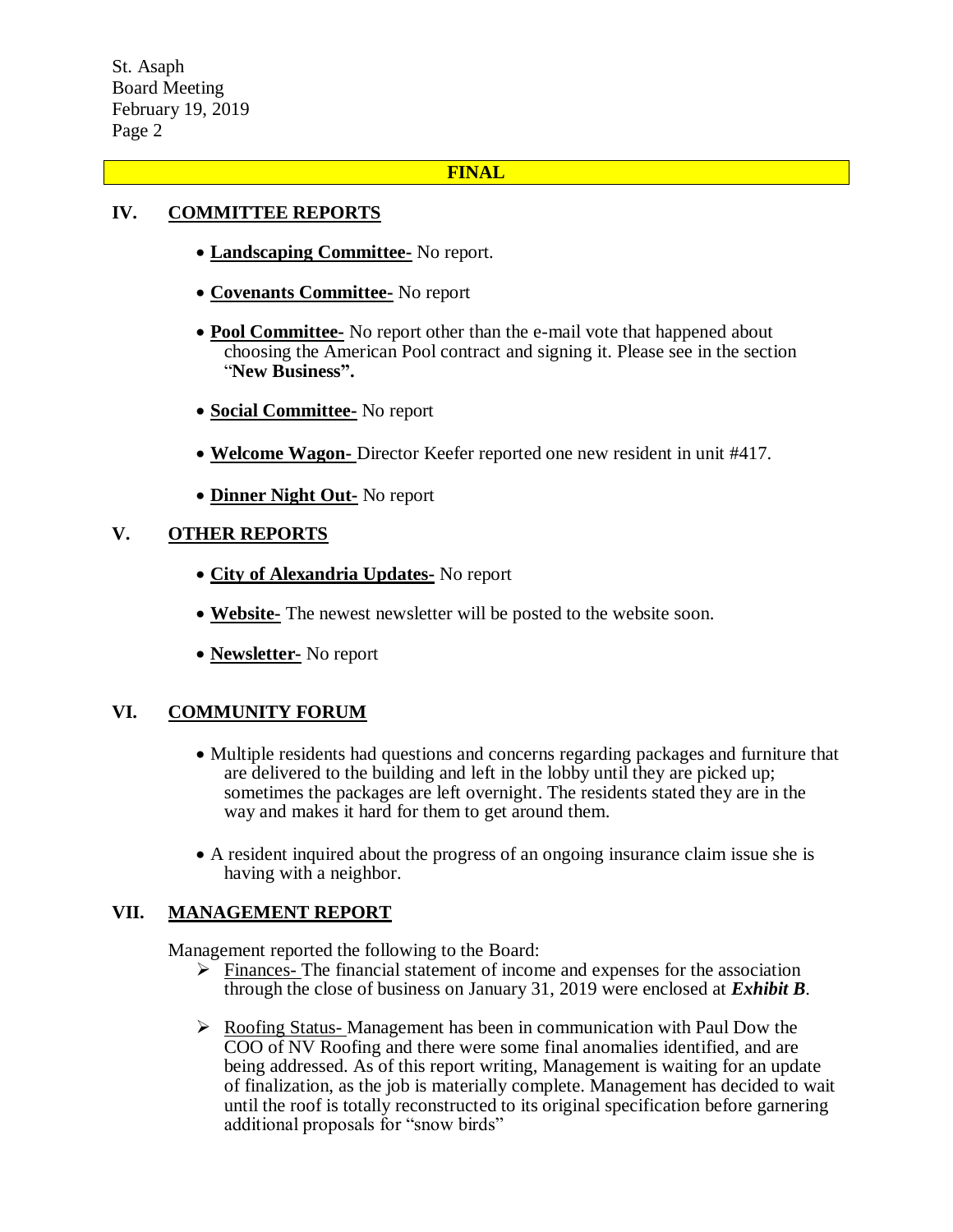### **FINAL**

## **IV. COMMITTEE REPORTS**

- **Landscaping Committee-** No report.
- **Covenants Committee-** No report
- **Pool Committee-** No report other than the e-mail vote that happened about choosing the American Pool contract and signing it. Please see in the section "**New Business".**
- **Social Committee-** No report
- **Welcome Wagon-** Director Keefer reported one new resident in unit #417.
- **Dinner Night Out-** No report

## **V. OTHER REPORTS**

- **City of Alexandria Updates-** No report
- **Website-** The newest newsletter will be posted to the website soon.
- **Newsletter-** No report

### **VI. COMMUNITY FORUM**

- Multiple residents had questions and concerns regarding packages and furniture that are delivered to the building and left in the lobby until they are picked up; sometimes the packages are left overnight. The residents stated they are in the way and makes it hard for them to get around them.
- A resident inquired about the progress of an ongoing insurance claim issue she is having with a neighbor.

### **VII. MANAGEMENT REPORT**

Management reported the following to the Board:

- $\triangleright$  Finances- The financial statement of income and expenses for the association through the close of business on January 31, 2019 were enclosed at *Exhibit B*.
- $\triangleright$  Roofing Status-Management has been in communication with Paul Dow the COO of NV Roofing and there were some final anomalies identified, and are being addressed. As of this report writing, Management is waiting for an update of finalization, as the job is materially complete. Management has decided to wait until the roof is totally reconstructed to its original specification before garnering additional proposals for "snow birds"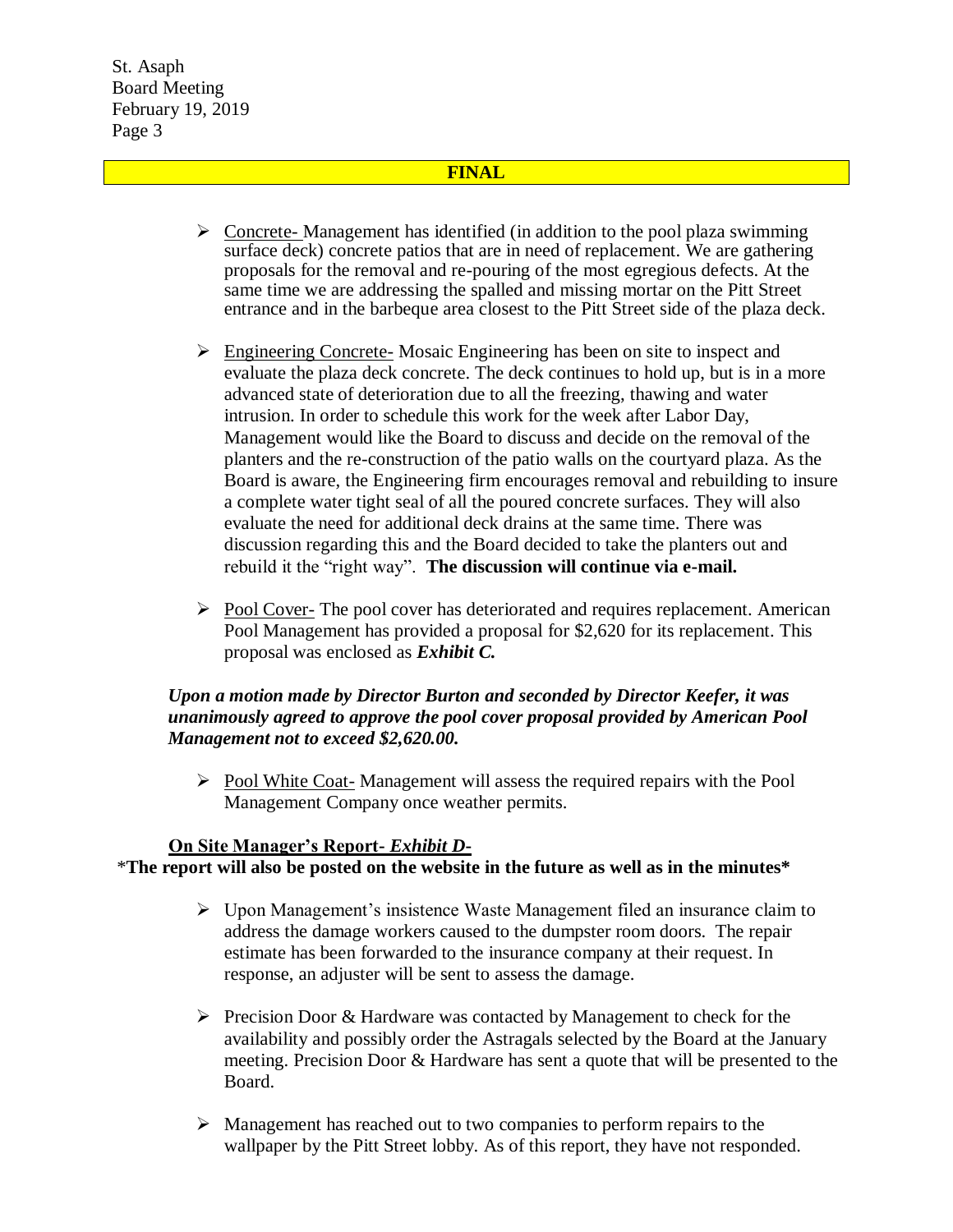### **FINAL**

- $\triangleright$  Concrete- Management has identified (in addition to the pool plaza swimming surface deck) concrete patios that are in need of replacement. We are gathering proposals for the removal and re-pouring of the most egregious defects. At the same time we are addressing the spalled and missing mortar on the Pitt Street entrance and in the barbeque area closest to the Pitt Street side of the plaza deck.
- $\triangleright$  Engineering Concrete-Mosaic Engineering has been on site to inspect and evaluate the plaza deck concrete. The deck continues to hold up, but is in a more advanced state of deterioration due to all the freezing, thawing and water intrusion. In order to schedule this work for the week after Labor Day, Management would like the Board to discuss and decide on the removal of the planters and the re-construction of the patio walls on the courtyard plaza. As the Board is aware, the Engineering firm encourages removal and rebuilding to insure a complete water tight seal of all the poured concrete surfaces. They will also evaluate the need for additional deck drains at the same time. There was discussion regarding this and the Board decided to take the planters out and rebuild it the "right way". **The discussion will continue via e-mail.**
- $\triangleright$  Pool Cover-The pool cover has deteriorated and requires replacement. American Pool Management has provided a proposal for \$2,620 for its replacement. This proposal was enclosed as *Exhibit C.*

### *Upon a motion made by Director Burton and seconded by Director Keefer, it was unanimously agreed to approve the pool cover proposal provided by American Pool Management not to exceed \$2,620.00.*

 $\triangleright$  Pool White Coat-Management will assess the required repairs with the Pool Management Company once weather permits.

### **On Site Manager's Report-** *Exhibit D***-**

\***The report will also be posted on the website in the future as well as in the minutes\***

- $\triangleright$  Upon Management's insistence Waste Management filed an insurance claim to address the damage workers caused to the dumpster room doors. The repair estimate has been forwarded to the insurance company at their request. In response, an adjuster will be sent to assess the damage.
- $\triangleright$  Precision Door & Hardware was contacted by Management to check for the availability and possibly order the Astragals selected by the Board at the January meeting. Precision Door & Hardware has sent a quote that will be presented to the Board.
- $\triangleright$  Management has reached out to two companies to perform repairs to the wallpaper by the Pitt Street lobby. As of this report, they have not responded.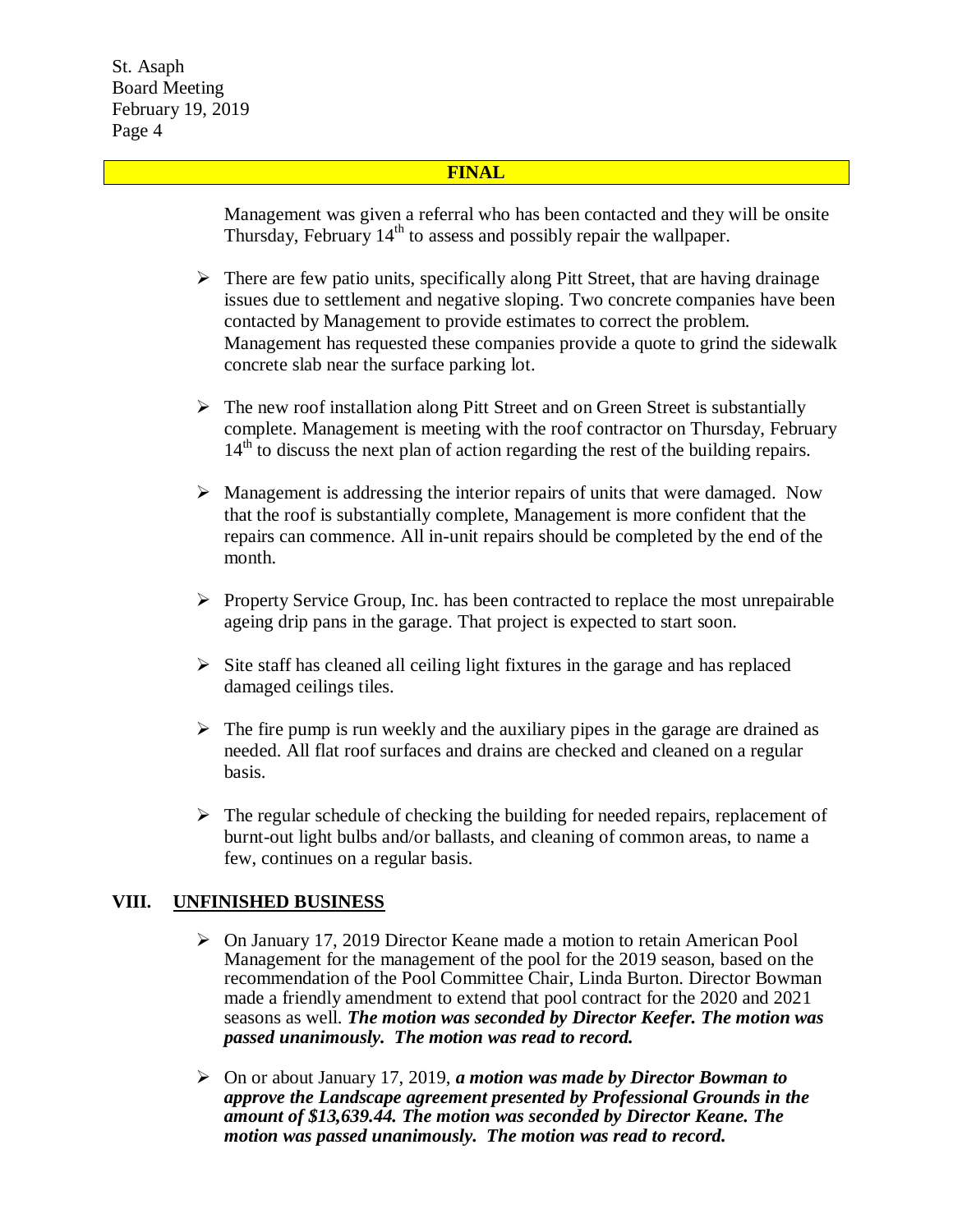#### **FINAL**

Management was given a referral who has been contacted and they will be onsite Thursday, February  $14<sup>th</sup>$  to assess and possibly repair the wallpaper.

- $\triangleright$  There are few patio units, specifically along Pitt Street, that are having drainage issues due to settlement and negative sloping. Two concrete companies have been contacted by Management to provide estimates to correct the problem. Management has requested these companies provide a quote to grind the sidewalk concrete slab near the surface parking lot.
- $\triangleright$  The new roof installation along Pitt Street and on Green Street is substantially complete. Management is meeting with the roof contractor on Thursday, February  $14<sup>th</sup>$  to discuss the next plan of action regarding the rest of the building repairs.
- $\triangleright$  Management is addressing the interior repairs of units that were damaged. Now that the roof is substantially complete, Management is more confident that the repairs can commence. All in-unit repairs should be completed by the end of the month.
- $\triangleright$  Property Service Group, Inc. has been contracted to replace the most unrepairable ageing drip pans in the garage. That project is expected to start soon.
- $\triangleright$  Site staff has cleaned all ceiling light fixtures in the garage and has replaced damaged ceilings tiles.
- $\triangleright$  The fire pump is run weekly and the auxiliary pipes in the garage are drained as needed. All flat roof surfaces and drains are checked and cleaned on a regular basis.
- $\triangleright$  The regular schedule of checking the building for needed repairs, replacement of burnt-out light bulbs and/or ballasts, and cleaning of common areas, to name a few, continues on a regular basis.

### **VIII. UNFINISHED BUSINESS**

- $\triangleright$  On January 17, 2019 Director Keane made a motion to retain American Pool Management for the management of the pool for the 2019 season, based on the recommendation of the Pool Committee Chair, Linda Burton. Director Bowman made a friendly amendment to extend that pool contract for the 2020 and 2021 seasons as well. *The motion was seconded by Director Keefer. The motion was passed unanimously. The motion was read to record.*
- On or about January 17, 2019, *a motion was made by Director Bowman to approve the Landscape agreement presented by Professional Grounds in the amount of \$13,639.44. The motion was seconded by Director Keane. The motion was passed unanimously. The motion was read to record.*